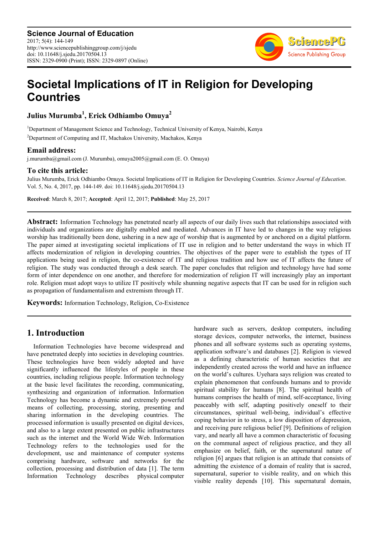

# **Societal Implications of IT in Religion for Developing Countries**

**Julius Murumba<sup>1</sup> , Erick Odhiambo Omuya<sup>2</sup>**

<sup>1</sup>Department of Management Science and Technology, Technical University of Kenya, Nairobi, Kenya

<sup>2</sup>Department of Computing and IT, Machakos University, Machakos, Kenya

#### **Email address:**

j.murumba@gmail.com (J. Murumba), omuya2005@gmail.com (E. O. Omuya)

#### **To cite this article:**

Julius Murumba, Erick Odhiambo Omuya. Societal Implications of IT in Religion for Developing Countries. *Science Journal of Education*. Vol. 5, No. 4, 2017, pp. 144-149. doi: 10.11648/j.sjedu.20170504.13

**Received**: March 8, 2017; **Accepted**: April 12, 2017; **Published**: May 25, 2017

**Abstract:** Information Technology has penetrated nearly all aspects of our daily lives such that relationships associated with individuals and organizations are digitally enabled and mediated. Advances in IT have led to changes in the way religious worship has traditionally been done, ushering in a new age of worship that is augmented by or anchored on a digital platform. The paper aimed at investigating societal implications of IT use in religion and to better understand the ways in which IT affects modernization of religion in developing countries. The objectives of the paper were to establish the types of IT applications being used in religion, the co-existence of IT and religious tradition and how use of IT affects the future of religion. The study was conducted through a desk search. The paper concludes that religion and technology have had some form of inter dependence on one another, and therefore for modernization of religion IT will increasingly play an important role. Religion must adopt ways to utilize IT positively while shunning negative aspects that IT can be used for in religion such as propagation of fundamentalism and extremism through IT.

**Keywords:** Information Technology, Religion, Co-Existence

# **1. Introduction**

Information Technologies have become widespread and have penetrated deeply into societies in developing countries. These technologies have been widely adopted and have significantly influenced the lifestyles of people in these countries, including religious people. Information technology at the basic level facilitates the recording, communicating, synthesizing and organization of information. Information Technology has become a dynamic and extremely powerful means of collecting, processing, storing, presenting and sharing information in the developing countries. The processed information is usually presented on digital devices, and also to a large extent presented on public infrastructures such as the internet and the World Wide Web. Information Technology refers to the technologies used for the development, use and maintenance of computer systems comprising hardware, software and networks for the collection, processing and distribution of data [1]. The term Information Technology describes physical computer hardware such as servers, desktop computers, including storage devices, computer networks, the internet, business phones and all software systems such as operating systems, application software's and databases [2]. Religion is viewed as a defining characteristic of human societies that are independently created across the world and have an influence on the world's cultures. Uyehara says religion was created to explain phenomenon that confounds humans and to provide spiritual stability for humans [8]. The spiritual health of humans comprises the health of mind, self-acceptance, living peaceably with self, adapting positively oneself to their circumstances, spiritual well-being, individual's effective coping behavior in to stress, a low disposition of depression, and receiving pure religious belief [9]. Definitions of religion vary, and nearly all have a common characteristic of focusing on the communal aspect of religious practice, and they all emphasize on belief, faith, or the supernatural nature of religion [6] argues that religion is an attitude that consists of admitting the existence of a domain of reality that is sacred, supernatural, superior to visible reality, and on which this visible reality depends [10]. This supernatural domain,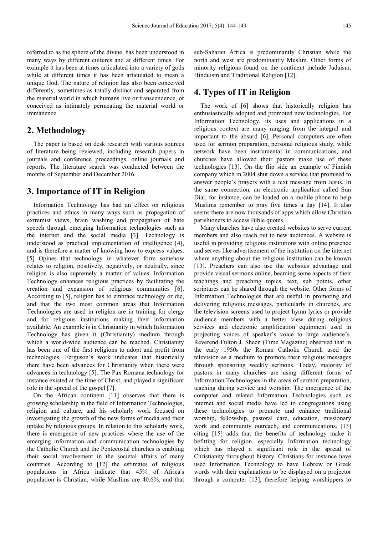referred to as the sphere of the divine, has been understood in many ways by different cultures and at different times. For example it has been at times articulated into a variety of gods while at different times it has been articulated to mean a unique God. The nature of religion has also been conceived differently, sometimes as totally distinct and separated from the material world in which humans live or transcendence, or conceived as intimately permeating the material world or immanence.

#### **2. Methodology**

The paper is based on desk research with various sources of literature being reviewed, including research papers in journals and conference proceedings, online journals and reports. The literature search was conducted between the months of September and December 2016.

### **3. Importance of IT in Religion**

Information Technology has had an effect on religious practices and ethics in many ways such as propagation of extremist views, brain washing and propagation of hate speech through emerging Information technologies such as the internet and the social media [3]. Technology is understood as practical implementation of intelligence [4], and is therefore a matter of knowing how to express values. [5] Opines that technology in whatever form somehow relates to religion, positively, negatively, or neutrally, since religion is also supremely a matter of values. Information Technology enhances religious practices by facilitating the creation and expansion of religious communities [6]. According to [5], religion has to embrace technology or die, and that the two most common areas that Information Technologies are used in religion are in training for clergy and for religious institutions making their information available. An example is in Christianity in which Information Technology has given it (Christianity) medium through which a world-wide audience can be reached. Christianity has been one of the first religions to adopt and profit from technologies. Ferguson's work indicates that historically there have been advances for Christianity when there were advances in technology [5]. The Pax Romana technology for instance existed at the time of Christ, and played a significant role in the spread of the gospel [7].

On the African continent [11] observes that there is growing scholarship in the field of Information Technologies, religion and culture, and his scholarly work focused on investigating the growth of the new forms of media and their uptake by religious groups. In relation to this scholarly work, there is emergence of new practices where the use of the emerging information and communication technologies by the Catholic Church and the Pentecostal churches is enabling their social involvement in the societal affairs of many countries. According to [12] the estimates of religious populations in Africa indicate that 45% of Africa's population is Christian, while Muslims are 40.6%, and that sub-Saharan Africa is predominantly Christian while the north and west are predominantly Muslim. Other forms of minority religions found on the continent include Judaism, Hinduism and Traditional Religion [12].

#### **4. Types of IT in Religion**

The work of [6] shows that historically religion has enthusiastically adopted and promoted new technologies. For Information Technology, its uses and applications in a religious context are many ranging from the integral and important to the absurd [6]. Personal computers are often used for sermon preparation, personal religious study, while network have been instrumental in communications, and churches have allowed their pastors make use of these technologies [13]. On the flip side an example of Finnish company which in 2004 shut down a service that promised to answer people's prayers with a text message from Jesus. In the same connection, an electronic application called Sun Dial, for instance, can be loaded on a mobile phone to help Muslims remember to pray five times a day [14]. It also seems there are now thousands of apps which allow Christian parishioners to access Bible quotes.

Many churches have also created websites to serve current members and also reach out to new audiences. A website is useful in providing religious institutions with online presence and serves like advertisement of the institution on the internet where anything about the religious institution can be known [13]. Preachers can also use the websites advantage and provide visual sermons online, beaming some aspects of their teachings and preaching topics, text, sub points, other scriptures can be shared through the website. Other forms of Information Technologies that are useful in promoting and delivering religious messages, particularly in churches, are the television screens used to project hymn lyrics or provide audience members with a better view during religious services and electronic amplification equipment used in projecting voices of speaker's voice to large audience's. Reverend Fulton J. Sheen (Time Magazine) observed that in the early 1950s the Roman Catholic Church used the television as a medium to promote their religious messages through sponsoring weekly sermons. Today, majority of pastors in many churches are using different forms of Information Technologies in the areas of sermon preparation, teaching during service and worship. The emergence of the computer and related Information Technologies such as internet and social media have led to congregations using these technologies to promote and enhance traditional worship, fellowship, pastoral care, education, missionary work and community outreach, and communications. [13] citing [15] adds that the benefits of technology make it befitting for religion, especially Information technology which has played a significant role in the spread of Christianity throughout history. Christians for instance have used Information Technology to have Hebrew or Greek words with their explanations to be displayed on a projector through a computer [13], therefore helping worshippers to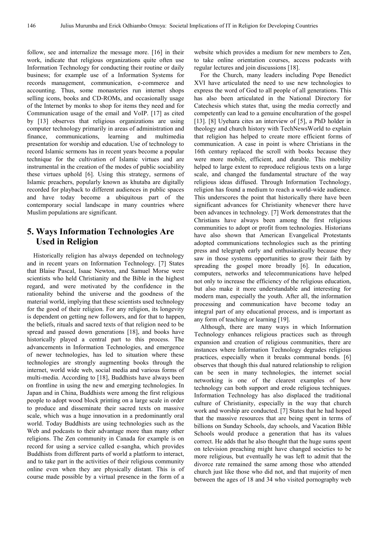follow, see and internalize the message more. [16] in their work, indicate that religious organizations quite often use Information Technology for conducting their routine or daily business; for example use of a Information Systems for records management, communication, e-commerce and accounting. Thus, some monasteries run internet shops selling icons, books and CD-ROMs, and occasionally usage of the Internet by monks to shop for items they need and for Communication usage of the email and VoIP. [17] as cited by [13] observes that religious organizations are using computer technology primarily in areas of administration and finance, communications, learning and multimedia presentation for worship and education. Use of technology to record Islamic sermons has in recent years become a popular technique for the cultivation of Islamic virtues and are instrumental in the creation of the modes of public sociability these virtues uphold [6]. Using this strategy, sermons of Islamic preachers, popularly known as khutaba are digitally recorded for playback to different audiences in public spaces and have today become a ubiquitous part of the contemporary social landscape in many countries where Muslim populations are significant.

## **5. Ways Information Technologies Are Used in Religion**

Historically religion has always depended on technology and in recent years on Information Technology. [7] States that Blaise Pascal, Isaac Newton, and Samuel Morse were scientists who held Christianity and the Bible in the highest regard, and were motivated by the confidence in the rationality behind the universe and the goodness of the material world, implying that these scientists used technology for the good of their religion. For any religion, its longevity is dependent on getting new followers, and for that to happen, the beliefs, rituals and sacred texts of that religion need to be spread and passed down generations [18], and books have historically played a central part to this process. The advancements in Information Technologies, and emergence of newer technologies, has led to situation where these technologies are strongly augmenting books through the internet, world wide web, social media and various forms of multi-media. According to [18], Buddhists have always been on frontline in using the new and emerging technologies. In Japan and in China, Buddhists were among the first religious people to adopt wood block printing on a large scale in order to produce and disseminate their sacred texts on massive scale, which was a huge innovation in a predominantly oral world. Today Buddhists are using technologies such as the Web and podcasts to their advantage more than many other religions. The Zen community in Canada for example is on record for using a service called e-sangha, which provides Buddhists from different parts of world a platform to interact, and to take part in the activities of their religious community online even when they are physically distant. This is of course made possible by a virtual presence in the form of a

website which provides a medium for new members to Zen, to take online orientation courses, access podcasts with regular lectures and join discussions [18].

For the Church, many leaders including Pope Benedict XVI have articulated the need to use new technologies to express the word of God to all people of all generations. This has also been articulated in the National Directory for Catechesis which states that, using the media correctly and competently can lead to a genuine enculturation of the gospel [13]. [8] Uyehara cites an interview of [5], a PhD holder in theology and church history with TechNewsWorld to explain that religion has helped to create more efficient forms of communication. A case in point is where Christians in the 16th century replaced the scroll with books because they were more mobile, efficient, and durable. This mobility helped to large extent to reproduce religious texts on a large scale, and changed the fundamental structure of the way religious ideas diffused. Through Information Technology, religion has found a medium to reach a world-wide audience. This underscores the point that historically there have been significant advances for Christianity whenever there have been advances in technology. [7] Work demonstrates that the Christians have always been among the first religious communities to adopt or profit from technologies. Historians have also shown that American Evangelical Protestants adopted communications technologies such as the printing press and telegraph early and enthusiastically because they saw in those systems opportunities to grow their faith by spreading the gospel more broadly [6]. In education, computers, networks and telecommunications have helped not only to increase the efficiency of the religious education, but also make it more understandable and interesting for modern man, especially the youth. After all, the information processing and communication have become today an integral part of any educational process, and is important as any form of teaching or learning [19].

Although, there are many ways in which Information Technology enhances religious practices such as through expansion and creation of religious communities, there are instances where Information Technology degrades religious practices, especially when it breaks communal bonds. [6] observes that though this dual natured relationship to religion can be seen in many technologies, the internet social networking is one of the clearest examples of how technology can both support and erode religious techniques. Information Technology has also displaced the traditional culture of Christianity, especially in the way that church work and worship are conducted. [7] States that he had hoped that the massive resources that are being spent in terms of billions on Sunday Schools, day schools, and Vacation Bible Schools would produce a generation that has its values correct. He adds that he also thought that the huge sums spent on television preaching might have changed societies to be more religious, but eventually he was left to admit that the divorce rate remained the same among those who attended church just like those who did not, and that majority of men between the ages of 18 and 34 who visited pornography web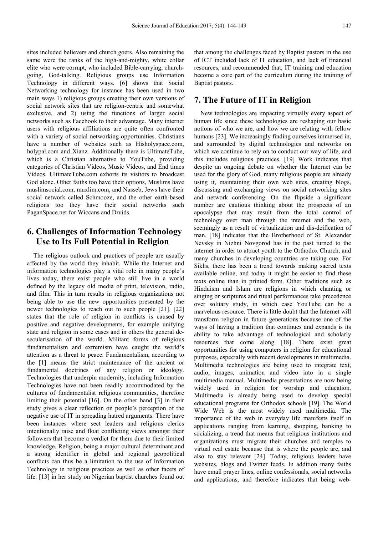sites included believers and church goers. Also remaining the same were the ranks of the high-and-mighty, white collar elite who were corrupt, who included Bible-carrying, churchgoing, God-talking. Religious groups use Information Technology in different ways. [6] shows that Social Networking technology for instance has been used in two main ways 1) religious groups creating their own versions of social network sites that are religion-centric and somewhat exclusive, and 2) using the functions of larger social networks such as Facebook to their advantage. Many internet users with religious affiliations are quite often confronted with a variety of social networking opportunities. Christians have a number of websites such as Hisholyspace.com, holypal.com and Xianz. Additionally there is UltimateTube, which is a Christian alternative to YouTube, providing categories of Christian Videos, Music Videos, and End times Videos. UltimateTube.com exhorts its visitors to broadcast God alone. Other faiths too have their options, Muslims have muslimsocial.com, muxlim.com, and Nasseb, Jews have their social network called Schmooze, and the other earth-based religions too they have their social networks such PaganSpace.net for Wiccans and Druids.

## **6. Challenges of Information Technology Use to Its Full Potential in Religion**

The religious outlook and practices of people are usually affected by the world they inhabit. While the Internet and information technologies play a vital role in many people's lives today, there exist people who still live in a world defined by the legacy old media of print, television, radio, and film. This in turn results in religious organizations not being able to use the new opportunities presented by the newer technologies to reach out to such people [21]. [22] states that the role of religion in conflicts is caused by positive and negative developments, for example unifying state and religion in some cases and in others the general desecularisation of the world. Militant forms of religious fundamentalism and extremism have caught the world's attention as a threat to peace. Fundamentalism, according to the [1] means the strict maintenance of the ancient or fundamental doctrines of any religion or ideology. Technologies that underpin modernity, including Information Technologies have not been readily accommodated by the cultures of fundamentalist religious communities, therefore limiting their potential [16]. On the other hand [3] in their study gives a clear reflection on people's perception of the negative use of IT in spreading hatred arguments. There have been instances where sect leaders and religious clerics intentionally raise and float conflicting views amongst their followers that become a verdict for them due to their limited knowledge. Religion, being a major cultural determinant and a strong identifier in global and regional geopolitical conflicts can thus be a limitation to the use of Information Technology in religious practices as well as other facets of life. [13] in her study on Nigerian baptist churches found out that among the challenges faced by Baptist pastors in the use of ICT included lack of IT education, and lack of financial resources, and recommended that, IT training and education become a core part of the curriculum during the training of Baptist pastors.

## **7. The Future of IT in Religion**

New technologies are impacting virtually every aspect of human life since these technologies are reshaping our basic notions of who we are, and how we are relating with fellow humans [23]. We increasingly finding ourselves immersed in, and surrounded by digital technologies and networks on which we continue to rely on to conduct our way of life, and this includes religious practices. [19] Work indicates that despite an ongoing debate on whether the Internet can be used for the glory of God, many religious people are already using it, maintaining their own web sites, creating blogs, discussing and exchanging views on social networking sites and network conferencing. On the flipside a significant number are cautious thinking about the prospects of an apocalypse that may result from the total control of technology over man through the internet and the web, seemingly as a result of virtualization and dis-deification of man. [18] indicates that the Brotherhood of St. Alexander Nevsky in Nizhni Novgorod has in the past turned to the internet in order to attract youth to the Orthodox Church, and many churches in developing countries are taking cue. For Sikhs, there has been a trend towards making sacred texts available online, and today it might be easier to find these texts online than in printed form. Other traditions such as Hinduism and Islam are religions in which chanting or singing or scriptures and ritual performances take precedence over solitary study, in which case YouTube can be a marvelous resource. There is little doubt that the Internet will transform religion in future generations because one of the ways of having a tradition that continues and expands is its ability to take advantage of technological and scholarly resources that come along [18]. There exist great opportunities for using computers in religion for educational purposes, especially with recent developments in multimedia. Multimedia technologies are being used to integrate text, audio, images, animation and video into in a single multimedia manual. Multimedia presentations are now being widely used in religion for worship and education. Multimedia is already being used to develop special educational programs for Orthodox schools [19]. The World Wide Web is the most widely used multimedia. The importance of the web in everyday life manifests itself in applications ranging from learning, shopping, banking to socializing, a trend that means that religious institutions and organizations must migrate their churches and temples to virtual real estate because that is where the people are, and also to stay relevant [24]. Today, religious leaders have websites, blogs and Twitter feeds. In addition many faiths have email prayer lines, online confessionals, social networks and applications, and therefore indicates that being web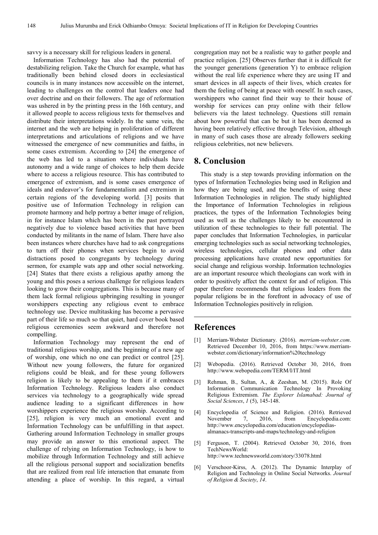savvy is a necessary skill for religious leaders in general.

Information Technology has also had the potential of destabilizing religion. Take the Church for example, what has traditionally been behind closed doors in ecclesiastical councils is in many instances now accessible on the internet, leading to challenges on the control that leaders once had over doctrine and on their followers. The age of reformation was ushered in by the printing press in the 16th century, and it allowed people to access religious texts for themselves and distribute their interpretations widely. In the same vein, the internet and the web are helping in proliferation of different interpretations and articulations of religions and we have witnessed the emergence of new communities and faiths, in some cases extremism. According to [24] the emergence of the web has led to a situation where individuals have autonomy and a wide range of choices to help them decide where to access a religious resource. This has contributed to emergence of extremism, and is some cases emergence of ideals and endeavor's for fundamentalism and extremism in certain regions of the developing world. [3] posits that positive use of Information Technology in religion can promote harmony and help portray a better image of religion, in for instance Islam which has been in the past portrayed negatively due to violence based activities that have been conducted by militants in the name of Islam. There have also been instances where churches have had to ask congregations to turn off their phones when services begin to avoid distractions posed to congregants by technology during sermon, for example wats app and other social networking. [24] States that there exists a religious apathy among the young and this poses a serious challenge for religious leaders looking to grow their congregations. This is because many of them lack formal religious upbringing resulting in younger worshippers expecting any religious event to embrace technology use. Device multitasking has become a pervasive part of their life so much so that quiet, hard cover book based religious ceremonies seem awkward and therefore not compelling.

Information Technology may represent the end of traditional religious worship, and the beginning of a new age of worship, one which no one can predict or control [25]. Without new young followers, the future for organized religions could be bleak, and for these young followers religion is likely to be appealing to them if it embraces Information Technology. Religious leaders also conduct services via technology to a geographically wide spread audience leading to a significant differences in how worshippers experience the religious worship. According to [25], religion is very much an emotional event and Information Technology can be unfulfilling in that aspect. Gathering around Information Technology in smaller groups may provide an answer to this emotional aspect. The challenge of relying on Information Technology, is how to mobilize through Information Technology and still achieve all the religious personal support and socialization benefits that are realized from real life interaction that emanate from attending a place of worship. In this regard, a virtual congregation may not be a realistic way to gather people and practice religion. [25] Observes further that it is difficult for the younger generations (generation Y) to embrace religion without the real life experience where they are using IT and smart devices in all aspects of their lives, which creates for them the feeling of being at peace with oneself. In such cases, worshippers who cannot find their way to their house of worship for services can pray online with their fellow believers via the latest technology. Questions still remain about how powerful that can be but it has been deemed as having been relatively effective through Television, although in many of such cases those are already followers seeking religious celebrities, not new believers.

#### **8. Conclusion**

This study is a step towards providing information on the types of Information Technologies being used in Religion and how they are being used, and the benefits of using these Information Technologies in religion. The study highlighted the Importance of Information Technologies in religious practices, the types of the Information Technologies being used as well as the challenges likely to be encountered in utilization of these technologies to their full potential. The paper concludes that Information Technologies, in particular emerging technologies such as social networking technologies, wireless technologies, cellular phones and other data processing applications have created new opportunities for social change and religious worship. Information technologies are an important resource which theologians can work with in order to positively affect the context for and of religion. This paper therefore recommends that religious leaders from the popular religions be in the forefront in advocacy of use of Information Technologies positively in religion.

#### **References**

- [1] Merriam-Webster Dictionary. (2016). *merriam-webster.com*. Retrieved December 10, 2016, from https://www.merriamwebster.com/dictionary/information%20technology
- [2] Webopedia. (2016). Retrieved October 30, 2016, from http://www.webopedia.com/TERM/I/IT.html
- [3] Rehman, B., Sultan, A., & Zeeshan, M. (2015). Role Of Information Communication Technology In Provoking Religious Extremism. *The Explorer Islamabad: Journal of Social Sciences*, *1* (5), 145-148.
- [4] Encyclopedia of Science and Religion. (2016). Retrieved November 7, 2016, from Encyclopedia.com: http://www.encyclopedia.com/education/encyclopediasalmanacs-transcripts-and-maps/technology-and-religion
- [5] Ferguson, T. (2004). Retrieved October 30, 2016, from TechNewsWorld: http://www.technewsworld.com/story/33078.html
- [6] Verschoor-Kirss, A. (2012). The Dynamic Interplay of Religion and Technology in Online Social Networks. *Journal of Religion & Society*, *14*.